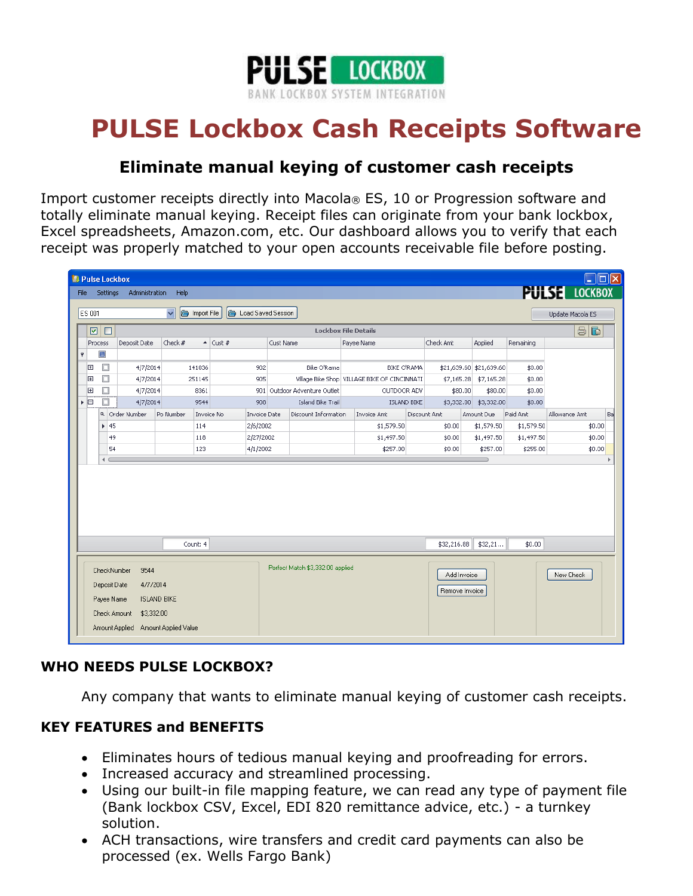

# **PULSE Lockbox Cash Receipts Software**

## **Eliminate manual keying of customer cash receipts**

Import customer receipts directly into Macola® ES, 10 or Progression software and totally eliminate manual keying. Receipt files can originate from your bank lockbox, Excel spreadsheets, Amazon.com, etc. Our dashboard allows you to verify that each receipt was properly matched to your open accounts receivable file before posting.

|                                                                    | <b>Andr</b><br><b>D</b> Pulse Lockbox                                                                                                                    |                                |                            |                  |                   |                     |                                 |           |                                                  |                                            |                                                |           |                               |                          |                    |               |    |
|--------------------------------------------------------------------|----------------------------------------------------------------------------------------------------------------------------------------------------------|--------------------------------|----------------------------|------------------|-------------------|---------------------|---------------------------------|-----------|--------------------------------------------------|--------------------------------------------|------------------------------------------------|-----------|-------------------------------|--------------------------|--------------------|---------------|----|
|                                                                    | <b>PULSE LOCKBOX</b><br>Administration<br>Help<br><b>Settings</b><br><b>File</b>                                                                         |                                |                            |                  |                   |                     |                                 |           |                                                  |                                            |                                                |           |                               |                          |                    |               |    |
| $\checkmark$<br>Import File<br>ES 001<br>ig.<br>Load Saved Session |                                                                                                                                                          |                                |                            |                  |                   |                     |                                 |           |                                                  |                                            | Update Macola ES                               |           |                               |                          |                    |               |    |
| $\Box$<br>☑                                                        |                                                                                                                                                          |                                |                            |                  |                   |                     |                                 |           |                                                  | $\bigoplus$<br><b>Lockbox File Details</b> |                                                |           |                               |                          |                    |               |    |
|                                                                    |                                                                                                                                                          | Deposit Date<br><b>Process</b> |                            | Check $#$        |                   | $\triangleq$ Cust # |                                 | Cust Name |                                                  | Payee Name                                 |                                                | Check Amt | Applied                       | Remaining                |                    |               |    |
|                                                                    | Ÿ                                                                                                                                                        | $\Box$                         |                            |                  |                   |                     |                                 |           |                                                  |                                            |                                                |           |                               |                          |                    |               |    |
|                                                                    | 田                                                                                                                                                        | о                              | 4/7/2014                   |                  | 141036            |                     | 902                             |           | Bike O'Rama                                      |                                            | <b>BIKE O'RAMA</b>                             |           |                               | \$21,639.60 \$21,639.60  | \$0.00             |               |    |
|                                                                    | 匣                                                                                                                                                        | $\Box$                         | 4/7/2014                   |                  | 251145            | 905                 |                                 |           |                                                  |                                            | Village Bike Shop   VILLAGE BIKE OF CINCINNATI |           | \$7,165.28                    | \$7,165.28               | \$0.00             |               |    |
|                                                                    | 田                                                                                                                                                        | □<br>П                         |                            | 4/7/2014<br>8361 |                   | 901                 |                                 |           | Outdoor Adventure Outlet                         |                                            | OUTDOOR ADV                                    |           | \$80.00                       | \$80.00                  | \$0.00             |               |    |
|                                                                    | ▸ 回                                                                                                                                                      |                                | 4/7/2014<br>a Order Number | Po Number        | 9544              |                     | 908                             |           | <b>Island Bike Trail</b><br>Discount Information |                                            | <b>ISLAND BIKE</b>                             |           | \$3,332.00                    | \$3,332.00               | \$0.00<br>Paid Amt | Allowance Amt | Ba |
|                                                                    |                                                                                                                                                          | $\blacktriangleright$ 45       |                            |                  | Invoice No<br>114 |                     | <b>Invoice Date</b><br>2/6/2002 |           |                                                  |                                            | <b>Invoice Amt</b><br>\$1,579.50               |           | Discount Amt<br>\$0.00        | Amount Due<br>\$1,579.50 | \$1,579.50         | \$0.00        |    |
|                                                                    |                                                                                                                                                          | 49                             |                            |                  | 118               |                     | 2/27/2002                       |           |                                                  |                                            | \$1,497.50                                     |           | \$0.00                        | \$1,497.50               | \$1,497.50         | \$0.00        |    |
|                                                                    | 54<br>123                                                                                                                                                |                                |                            | 4/1/2002         |                   |                     |                                 | \$257.00  | \$0.00                                           |                                            | \$257.00                                       | \$255.00  | \$0.00                        |                          |                    |               |    |
|                                                                    | $\leftarrow$                                                                                                                                             |                                |                            |                  |                   |                     |                                 |           |                                                  |                                            |                                                |           |                               |                          |                    |               |    |
|                                                                    |                                                                                                                                                          |                                |                            |                  |                   |                     |                                 |           |                                                  |                                            |                                                |           |                               |                          |                    |               |    |
|                                                                    |                                                                                                                                                          |                                |                            |                  | Count: 4          |                     |                                 |           |                                                  |                                            |                                                |           | \$32,216.88                   | \$32,21                  | \$0.00             |               |    |
|                                                                    | CheckNumber<br>9544<br>4/7/2014<br>Deposit Date<br>Payee Name<br><b>ISLAND BIKE</b><br>Check Amount<br>\$3,332.00<br>Amount Applied Amount Applied Value |                                |                            |                  |                   |                     |                                 |           | Perfect Match \$3,332.00 applied                 |                                            |                                                |           | Add Invoice<br>Remove Invoice |                          |                    | New Check     |    |

## **WHO NEEDS PULSE LOCKBOX?**

Any company that wants to eliminate manual keying of customer cash receipts.

#### **KEY FEATURES and BENEFITS**

- Eliminates hours of tedious manual keying and proofreading for errors.
- Increased accuracy and streamlined processing.
- Using our built-in file mapping feature, we can read any type of payment file (Bank lockbox CSV, Excel, EDI 820 remittance advice, etc.) - a turnkey solution.
- ACH transactions, wire transfers and credit card payments can also be processed (ex. Wells Fargo Bank)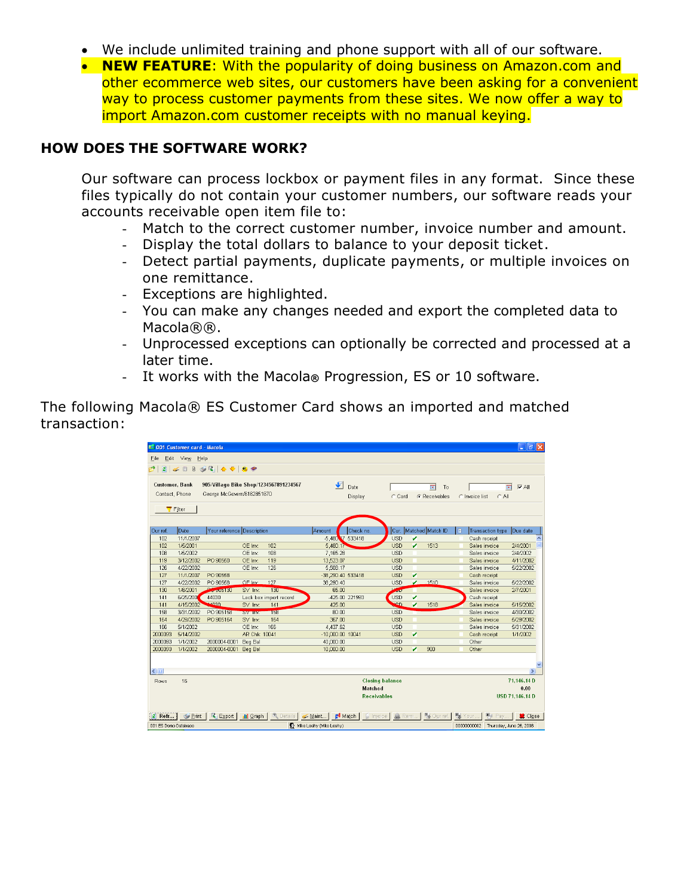- We include unlimited training and phone support with all of our software.
- **NEW FEATURE**: With the popularity of doing business on Amazon.com and other ecommerce web sites, our customers have been asking for a convenient way to process customer payments from these sites. We now offer a way to import Amazon.com customer receipts with no manual keying.

#### **HOW DOES THE SOFTWARE WORK?**

Our software can process lockbox or payment files in any format. Since these files typically do not contain your customer numbers, our software reads your accounts receivable open item file to:

- Match to the correct customer number, invoice number and amount.
- Display the total dollars to balance to your deposit ticket.
- Detect partial payments, duplicate payments, or multiple invoices on one remittance.
- Exceptions are highlighted.
- You can make any changes needed and export the completed data to Macola®®.
- Unprocessed exceptions can optionally be corrected and processed at a later time.
- It works with the Macola**®** Progression, ES or 10 software.

The following Macola® ES Customer Card shows an imported and matched transaction:

| $\Box$ e $\mathsf{I}\mathsf{x}$<br><b>EE 001 Customer card - Macola</b>                                                          |           |                            |                |                                  |                   |                                        |               |    |                       |                |                  |                 |  |
|----------------------------------------------------------------------------------------------------------------------------------|-----------|----------------------------|----------------|----------------------------------|-------------------|----------------------------------------|---------------|----|-----------------------|----------------|------------------|-----------------|--|
| Edit View Help<br>File                                                                                                           |           |                            |                |                                  |                   |                                        |               |    |                       |                |                  |                 |  |
| $3 - 4 - 6$<br>$\mathbb Q$<br>2 - 8                                                                                              |           |                            |                |                                  |                   |                                        |               |    |                       |                |                  |                 |  |
|                                                                                                                                  |           |                            |                |                                  |                   |                                        |               |    |                       |                |                  |                 |  |
| $\blacklozenge$<br><b>Customer, Bank</b><br>905/Village Bike Shop/1234567891234567<br>Date<br>$\overline{V}$ All<br>菌<br>To<br>菌 |           |                            |                |                                  |                   |                                        |               |    |                       |                |                  |                 |  |
| Contact, Phone                                                                                                                   |           | George McGovern/6162851670 |                |                                  |                   | Display                                | C Card        |    | C Receivables         | C Invoice list | $C$ All          |                 |  |
|                                                                                                                                  |           |                            |                |                                  |                   |                                        |               |    |                       |                |                  |                 |  |
| Filter                                                                                                                           |           |                            |                |                                  |                   |                                        |               |    |                       |                |                  |                 |  |
|                                                                                                                                  |           |                            |                |                                  |                   |                                        |               |    |                       |                |                  |                 |  |
| Our ref.                                                                                                                         | Date      | Your reference Description |                |                                  | Amount            | Check no.                              |               |    | Cur. Matched Match ID | 眉              | Transaction type | Due date        |  |
| 102                                                                                                                              | 11/1/2007 |                            |                |                                  | -5,480 V 533418   |                                        | <b>USD</b>    | v  |                       | Cash receipt   |                  |                 |  |
| 102                                                                                                                              | 1/5/2001  |                            | OE Inv:        | 102                              | 5,480.17          |                                        | <b>USD</b>    | z  | 1513                  |                | Sales invoice    | 2/4/2001        |  |
| 108                                                                                                                              | 1/5/2002  |                            | OE Inv:        | 108                              | 7.165.28          |                                        | <b>USD</b>    |    |                       |                | Sales invoice    | 2/4/2002        |  |
| 119                                                                                                                              | 3/12/2002 | PO 90550                   | OE Inv:        | 119                              | 13,523.07         |                                        | <b>USD</b>    |    |                       |                | Sales invoice    | 4/11/2002       |  |
| 126                                                                                                                              | 4/22/2002 |                            | OE Inv:        | 126                              | 5,508.17          |                                        | <b>USD</b>    |    |                       |                | Sales invoice    | 5/22/2002       |  |
| 127                                                                                                                              | 11/1/2007 | PO 90558                   |                |                                  | -38,290.40 533418 |                                        | <b>USD</b>    | z  |                       | Cash receipt   |                  |                 |  |
| 127                                                                                                                              | 4/22/2002 | PO 90558                   | OE Inv:        | 127                              | 38,290.40         |                                        | <b>USD</b>    | v. | 1510                  |                | Sales invoice    | 5/22/2002       |  |
| 130                                                                                                                              | 1/8/2001  | Powder 30                  | SV Inv.        | 130                              | 65.00             |                                        | $\frac{1}{2}$ |    |                       |                | Sales invoice    | 2/7/2001        |  |
| 141                                                                                                                              | 6/25/2001 | 44030                      |                | Lock box import record           |                   | -425.00 221993                         | USD           | v  |                       | Cash receipt   |                  |                 |  |
| 141                                                                                                                              | 4/15/2002 | <b>LEDAN</b>               | SV Inv.        | 141                              | 425.00            |                                        | <b>LCD</b>    | z  | 1518                  |                | Sales invoice    | 5/15/2002       |  |
| 158                                                                                                                              | 3/31/2002 | PO 905158                  | <b>SV IIIV</b> | 158                              | 80.00             |                                        | <b>USD</b>    |    |                       |                | Sales invoice    | 4/30/2002       |  |
| 164                                                                                                                              | 4/29/2002 | PO 905164                  | SV Inv.        | 164                              | 367.00            |                                        | <b>USD</b>    |    |                       |                | Sales invoice    | 5/29/2002       |  |
| 166                                                                                                                              | 5/1/2002  |                            | OE Inv:        | 166                              | 4.437.62          |                                        | <b>USD</b>    |    |                       |                | Sales invoice    | 5/31/2002       |  |
| 2000093                                                                                                                          | 5/14/2002 |                            | AR Chk: 10041  |                                  | -10,000.00 10041  |                                        | <b>USD</b>    | z  |                       | Cash receipt   |                  | 1/1/2002        |  |
| 2000093                                                                                                                          | 1/1/2002  | 2000004-0001               | Beg Bal        |                                  | 40,000.00         |                                        | <b>USD</b>    |    |                       | Other          |                  |                 |  |
| 2000093                                                                                                                          | 1/1/2002  | 2000004-0001               | Beg Bal        |                                  | 10.000.00         |                                        | <b>USD</b>    | v  | 980                   | Other          |                  |                 |  |
|                                                                                                                                  |           |                            |                |                                  |                   |                                        |               |    |                       |                |                  |                 |  |
|                                                                                                                                  |           |                            |                |                                  |                   |                                        |               |    |                       |                |                  |                 |  |
| $\left  \right $                                                                                                                 |           |                            |                |                                  |                   |                                        |               |    |                       |                |                  | $\rightarrow$   |  |
| 16<br><b>Closing balance</b><br><b>Rows</b>                                                                                      |           |                            |                |                                  |                   |                                        |               |    | 71.146.14D            |                |                  |                 |  |
| <b>Matched</b>                                                                                                                   |           |                            |                |                                  |                   |                                        |               |    | 0.00                  |                |                  |                 |  |
| USD 71,146.14 D<br><b>Receivables</b>                                                                                            |           |                            |                |                                  |                   |                                        |               |    |                       |                |                  |                 |  |
|                                                                                                                                  |           |                            |                |                                  |                   |                                        |               |    |                       |                |                  |                 |  |
| Export   Ill Graph   C. Details<br>Match  <br>围<br><b>Bl</b> u Pay<br>$\leq$ Print  <br><b>S</b> Invoice                         |           |                            |                |                                  |                   |                                        |               |    |                       |                |                  |                 |  |
| $2$ Refr                                                                                                                         |           |                            |                |                                  | $\leq$ Maint      |                                        | Remi          |    | <b>图 Our ref.</b>     | Your           |                  | <b>SC</b> Close |  |
| 001 ES Demo Database                                                                                                             |           |                            |                | <b>1</b> Mike Leahy (Mike Leahy) |                   | 00000000002<br>Thursday, June 26, 2008 |               |    |                       |                |                  |                 |  |